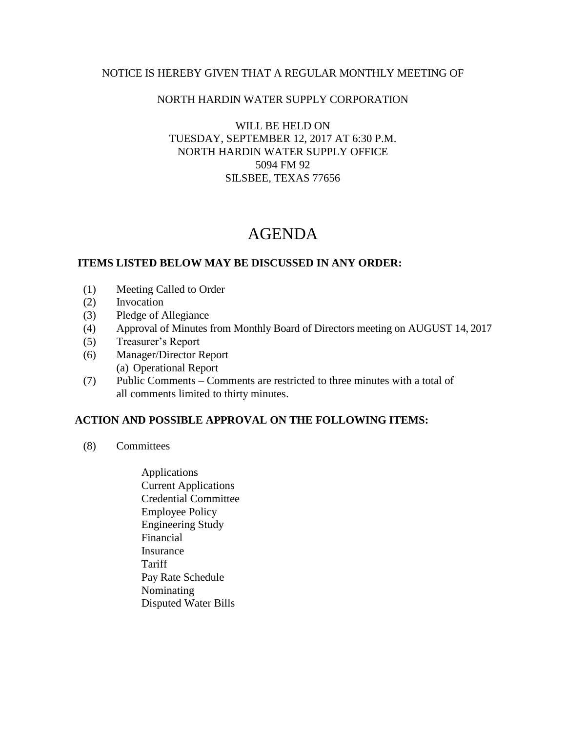# NOTICE IS HEREBY GIVEN THAT A REGULAR MONTHLY MEETING OF

### NORTH HARDIN WATER SUPPLY CORPORATION

### WILL BE HELD ON TUESDAY, SEPTEMBER 12, 2017 AT 6:30 P.M. NORTH HARDIN WATER SUPPLY OFFICE 5094 FM 92 SILSBEE, TEXAS 77656

# AGENDA

#### **ITEMS LISTED BELOW MAY BE DISCUSSED IN ANY ORDER:**

- (1) Meeting Called to Order
- (2) Invocation
- (3) Pledge of Allegiance
- (4) Approval of Minutes from Monthly Board of Directors meeting on AUGUST 14, 2017
- (5) Treasurer's Report
- (6) Manager/Director Report (a) Operational Report
- (7) Public Comments Comments are restricted to three minutes with a total of all comments limited to thirty minutes.

# **ACTION AND POSSIBLE APPROVAL ON THE FOLLOWING ITEMS:**

- (8) Committees
	- Applications Current Applications Credential Committee Employee Policy Engineering Study Financial Insurance **Tariff**  Pay Rate Schedule Nominating Disputed Water Bills